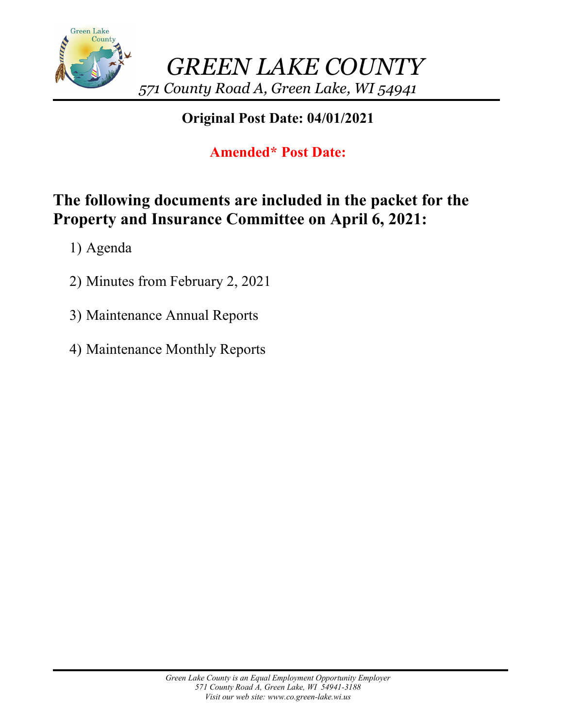

### **Original Post Date: 04/01/2021**

## **Amended\* Post Date:**

# **The following documents are included in the packet for the Property and Insurance Committee on April 6, 2021:**

1) Agenda

- 2) Minutes from February 2, 2021
- 3) Maintenance Annual Reports
- 4) Maintenance Monthly Reports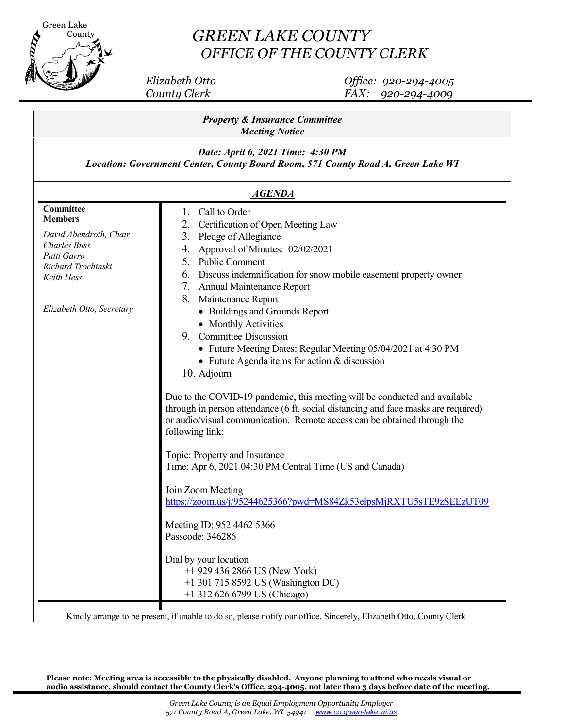

### *GREEN LAKE COUNTY OFFICE OF THE COUNTY CLERK*

 *Elizabeth Otto Office: 920-294-4005 County Clerk FAX: 920-294-4009*

| <b>Property &amp; Insurance Committee</b><br><b>Meeting Notice</b><br>Date: April 6, 2021 Time: 4:30 PM<br>Location: Government Center, County Board Room, 571 County Road A, Green Lake WI<br><b>AGENDA</b> |  |  |  |                                                                                                                                                              |                                                                                                                                                                                                                                                                                                                                                                                                                                                                                                                                                                                                                                                                                                                                                                                                                                                                                                                                                                                                                                                                                                  |
|--------------------------------------------------------------------------------------------------------------------------------------------------------------------------------------------------------------|--|--|--|--------------------------------------------------------------------------------------------------------------------------------------------------------------|--------------------------------------------------------------------------------------------------------------------------------------------------------------------------------------------------------------------------------------------------------------------------------------------------------------------------------------------------------------------------------------------------------------------------------------------------------------------------------------------------------------------------------------------------------------------------------------------------------------------------------------------------------------------------------------------------------------------------------------------------------------------------------------------------------------------------------------------------------------------------------------------------------------------------------------------------------------------------------------------------------------------------------------------------------------------------------------------------|
|                                                                                                                                                                                                              |  |  |  | Committee<br><b>Members</b><br>David Abendroth, Chair<br><b>Charles Buss</b><br>Patti Garro<br>Richard Trochinski<br>Keith Hess<br>Elizabeth Otto, Secretary | Call to Order<br>1.<br>Certification of Open Meeting Law<br>Pledge of Allegiance<br>3.<br>Approval of Minutes: 02/02/2021<br>4.<br>5.<br><b>Public Comment</b><br>Discuss indemnification for snow mobile easement property owner<br>6.<br>7. Annual Maintenance Report<br>8.<br>Maintenance Report<br>• Buildings and Grounds Report<br>• Monthly Activities<br>9. Committee Discussion<br>• Future Meeting Dates: Regular Meeting 05/04/2021 at 4:30 PM<br>• Future Agenda items for action & discussion<br>10. Adjourn<br>Due to the COVID-19 pandemic, this meeting will be conducted and available<br>through in person attendance (6 ft. social distancing and face masks are required)<br>or audio/visual communication. Remote access can be obtained through the<br>following link:<br>Topic: Property and Insurance<br>Time: Apr 6, 2021 04:30 PM Central Time (US and Canada)<br>Join Zoom Meeting<br>https://zoom.us/j/95244625366?pwd=MS84Zk53elpsMjRXTU5sTE9zSEEzUT09<br>Meeting ID: 952 4462 5366<br>Passcode: 346286<br>Dial by your location<br>$+1$ 929 436 2866 US (New York) |
|                                                                                                                                                                                                              |  |  |  |                                                                                                                                                              | +1 301 715 8592 US (Washington DC)<br>+1 312 626 6799 US (Chicago)<br>Kindly arrange to be present, if unable to do so, please notify our office. Sincerely, Elizabeth Otto, County Clerk                                                                                                                                                                                                                                                                                                                                                                                                                                                                                                                                                                                                                                                                                                                                                                                                                                                                                                        |

**Please note: Meeting area is accessible to the physically disabled. Anyone planning to attend who needs visual or audio assistance, should contact the County Clerk's Office, 294-4005, not later than 3 days before date 0f the meeting.**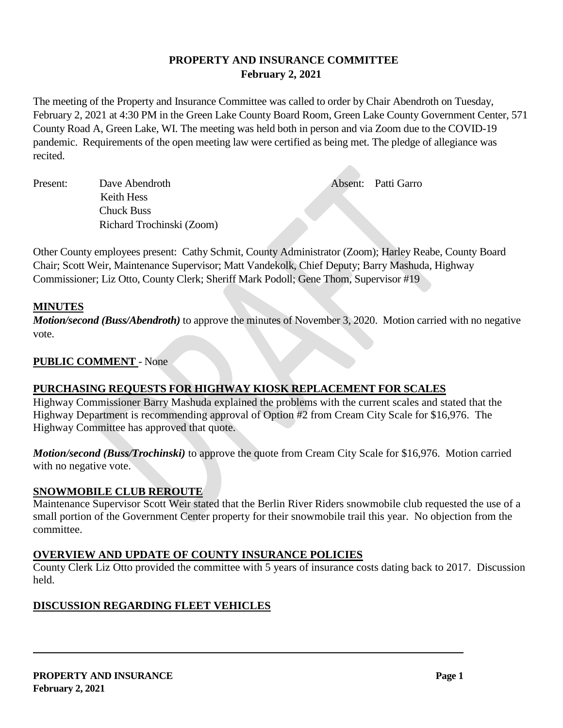#### **PROPERTY AND INSURANCE COMMITTEE February 2, 2021**

The meeting of the Property and Insurance Committee was called to order by Chair Abendroth on Tuesday, February 2, 2021 at 4:30 PM in the Green Lake County Board Room, Green Lake County Government Center, 571 County Road A, Green Lake, WI. The meeting was held both in person and via Zoom due to the COVID-19 pandemic. Requirements of the open meeting law were certified as being met. The pledge of allegiance was recited.

Present: Dave Abendroth **Absent: Patti Garro**  Keith Hess Chuck Buss Richard Trochinski (Zoom)

Other County employees present: Cathy Schmit, County Administrator (Zoom); Harley Reabe, County Board Chair; Scott Weir, Maintenance Supervisor; Matt Vandekolk, Chief Deputy; Barry Mashuda, Highway Commissioner; Liz Otto, County Clerk; Sheriff Mark Podoll; Gene Thom, Supervisor #19

#### **MINUTES**

*Motion/second (Buss/Abendroth)* to approve the minutes of November 3, 2020. Motion carried with no negative vote.

#### **PUBLIC COMMENT** - None

#### **PURCHASING REQUESTS FOR HIGHWAY KIOSK REPLACEMENT FOR SCALES**

Highway Commissioner Barry Mashuda explained the problems with the current scales and stated that the Highway Department is recommending approval of Option #2 from Cream City Scale for \$16,976. The Highway Committee has approved that quote.

*Motion/second (Buss/Trochinski)* to approve the quote from Cream City Scale for \$16,976. Motion carried with no negative vote.

#### **SNOWMOBILE CLUB REROUTE**

Maintenance Supervisor Scott Weir stated that the Berlin River Riders snowmobile club requested the use of a small portion of the Government Center property for their snowmobile trail this year. No objection from the committee.

#### **OVERVIEW AND UPDATE OF COUNTY INSURANCE POLICIES**

County Clerk Liz Otto provided the committee with 5 years of insurance costs dating back to 2017. Discussion held.

### **DISCUSSION REGARDING FLEET VEHICLES**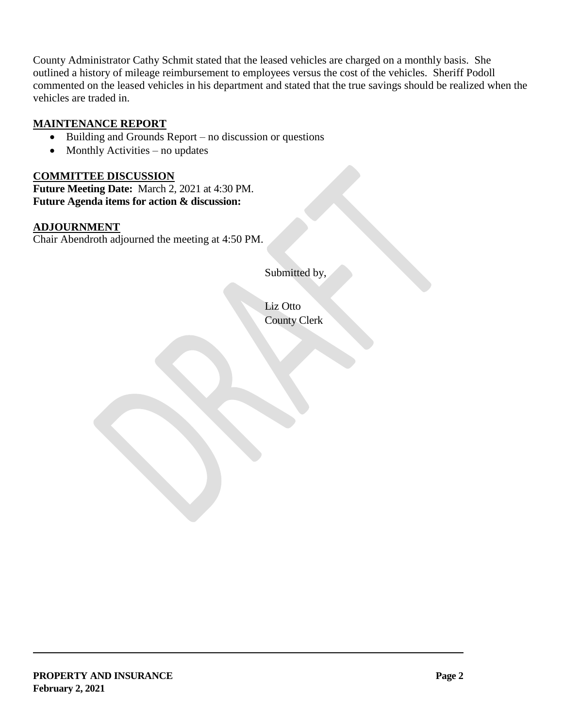County Administrator Cathy Schmit stated that the leased vehicles are charged on a monthly basis. She outlined a history of mileage reimbursement to employees versus the cost of the vehicles. Sheriff Podoll commented on the leased vehicles in his department and stated that the true savings should be realized when the vehicles are traded in.

#### **MAINTENANCE REPORT**

- $\bullet$  Building and Grounds Report no discussion or questions
- $\bullet$  Monthly Activities no updates

#### **COMMITTEE DISCUSSION**

**Future Meeting Date:** March 2, 2021 at 4:30 PM. **Future Agenda items for action & discussion:**

#### **ADJOURNMENT**

Chair Abendroth adjourned the meeting at 4:50 PM.

Submitted by,

Liz Otto County Clerk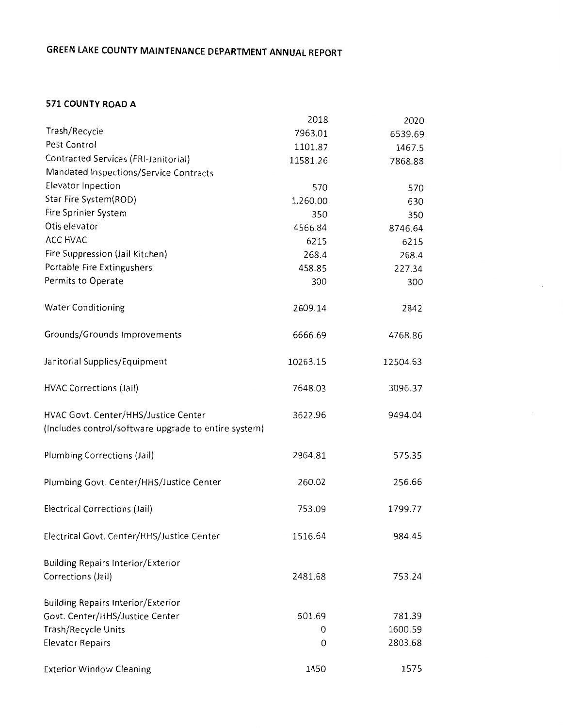#### **571 COUNTY ROAD A**

|                                                      | 2018     | 2020     |
|------------------------------------------------------|----------|----------|
| Trash/Recycle                                        | 7963.01  | 6539.69  |
| Pest Control                                         | 1101.87  | 1467.5   |
| Contracted Services (FRI-Janitorial)                 | 11581.26 | 7868.88  |
| Mandated Inspections/Service Contracts               |          |          |
| Elevator Inpection                                   | 570      | 570      |
| Star Fire System(ROD)                                | 1,260.00 | 630      |
| Fire Sprinler System                                 | 350      | 350      |
| Otis elevator                                        | 4566.84  | 8746.64  |
| ACC HVAC                                             | 6215     | 6215     |
| Fire Suppression (Jail Kitchen)                      | 268.4    | 268.4    |
| Portable Fire Extingushers                           | 458.85   | 227.34   |
| Permits to Operate                                   | 300      | 300      |
| <b>Water Conditioning</b>                            | 2609.14  | 2842     |
| Grounds/Grounds Improvements                         | 6666.69  | 4768.86  |
| Janitorial Supplies/Equipment                        | 10263.15 | 12504.63 |
| <b>HVAC Corrections (Jail)</b>                       | 7648.03  | 3096.37  |
| HVAC Govt. Center/HHS/Justice Center                 | 3622.96  | 9494.04  |
| (Includes control/software upgrade to entire system) |          |          |
| Plumbing Corrections (Jail)                          | 2964.81  | 575.35   |
| Plumbing Govt. Center/HHS/Justice Center             | 260.02   | 256.66   |
| Electrical Corrections (Jail)                        | 753.09   | 1799.77  |
| Electrical Govt. Center/HHS/Justice Center           | 1516.64  | 984.45   |
| <b>Building Repairs Interior/Exterior</b>            |          |          |
| Corrections (Jail)                                   | 2481.68  | 753.24   |
| <b>Building Repairs Interior/Exterior</b>            |          |          |
| Govt. Center/HHS/Justice Center                      | 501.69   | 781.39   |
| Trash/Recycle Units                                  | 0        | 1600.59  |
| <b>Elevator Repairs</b>                              | 0        | 2803.68  |
| <b>Exterior Window Cleaning</b>                      | 1450     | 1575     |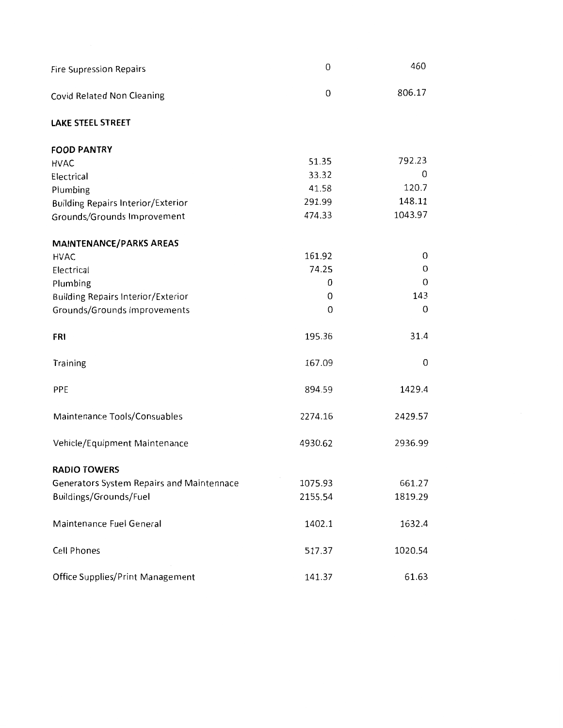| <b>Fire Supression Repairs</b>                   | $\mathbf 0$      | 460     |
|--------------------------------------------------|------------------|---------|
| Covid Related Non Cleaning                       | $\boldsymbol{0}$ | 806.17  |
| <b>LAKE STEEL STREET</b>                         |                  |         |
| <b>FOOD PANTRY</b>                               |                  |         |
| <b>HVAC</b>                                      | 51.35            | 792.23  |
| Electrical                                       | 33.32            | 0       |
| Plumbing                                         | 41.58            | 120.7   |
| <b>Building Repairs Interior/Exterior</b>        | 291.99           | 148.11  |
| Grounds/Grounds Improvement                      | 474.33           | 1043.97 |
| <b>MAINTENANCE/PARKS AREAS</b>                   |                  |         |
| <b>HVAC</b>                                      | 161.92           | 0       |
| Electrical                                       | 74.25            | 0       |
| Plumbing                                         | 0                | 0       |
| <b>Building Repairs Interior/Exterior</b>        | 0                | 143     |
| Grounds/Grounds Improvements                     | $\overline{0}$   | 0       |
| <b>FRI</b>                                       | 195.36           | 31.4    |
| <b>Training</b>                                  | 167.09           | 0       |
| PPE                                              | 894.59           | 1429.4  |
| Maintenance Tools/Consuables                     | 2274.16          | 2429.57 |
| Vehicle/Equipment Maintenance                    | 4930.62          | 2936.99 |
| <b>RADIO TOWERS</b>                              |                  |         |
| <b>Generators System Repairs and Maintennace</b> | 1075.93          | 661.27  |
| Buildings/Grounds/Fuel                           | 2155.54          | 1819.29 |
| Maintenance Fuel General                         | 1402.1           | 1632.4  |
| Cell Phones                                      | 517.37           | 1020.54 |
| <b>Office Supplies/Print Management</b>          | 141.37           | 61.63   |
|                                                  |                  |         |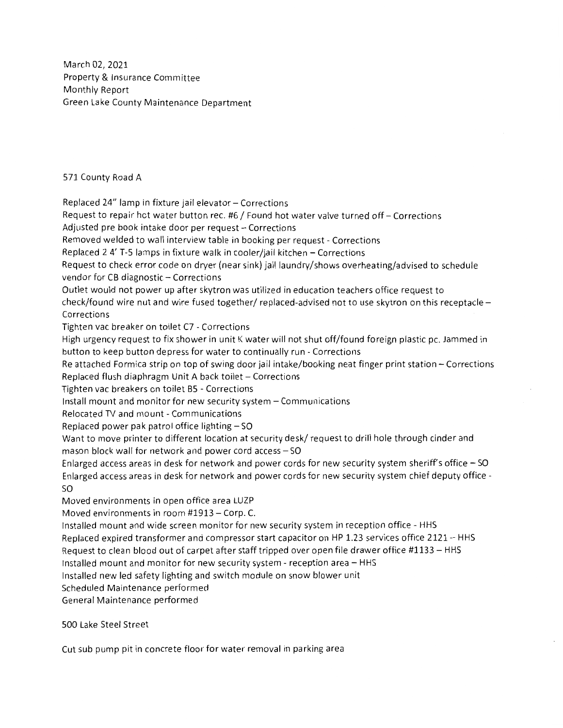March 02, 2021 Property & Insurance Committee Monthly Report Green Lake County Maintenance Department

571 County Road A

Replaced 24" lamp in fixture jail elevator - Corrections Request to repair hot water button rec. #6 / Found hot water valve turned off- Corrections Adjusted pre book intake door per request - Corrections Removed welded to wall interview table in booking per request - Corrections Replaced 2 4' T-5 lamps in fixture walk in cooler/jail kitchen - Corrections Request to check error code on dryer (near sink) jail laundry/shows overheating/advised to schedule vendor for CB diagnostic - Corrections Outlet would not power up after skytron was utilized in education teachers office request to check/found wire nut and wire fused together/ replaced-advised not to use skytron on this receptacle - Corrections Tighten vac breaker on toilet C7 - Corrections High urgency request to fix shower in unit K water will not shut off/found foreign plastic pc. Jammed in button to keep button depress for water to continually run - Corrections Re attached Formica strip on top of swing door jail intake/booking neat finger print station - Corrections Replaced flush diaphragm Unit A back toilet  $-$  Corrections Tighten vac breakers on toilet BS - Corrections Install mount and monitor for new security system - Communications Relocated TV and mount - Communications Replaced power pak patrol office lighting  $-$  SO Want to move printer to different location at security desk/ request to drill hole through cinder and mason block wall for network and power cord access  $-$  SO Enlarged access areas in desk for network and power cords for new security system sheriff's office  $-$  SO Enlarged access areas in desk for network and power cords for new security system chief deputy office so Moved environments in open office area LUZP Moved environments in room #1913 - Corp. C. Installed mount and wide screen monitor for new security system in reception office - HHS Replaced expired transformer and compressor start capacitor on HP 1.23 services office 2121- HHS Request to clean blood out of carpet after staff tripped over open file drawer office #1133 - HHS Installed mount and monitor for new security system - reception area - HHS Installed new led safety lighting and switch module on snow blower unit Scheduled Maintenance performed General Maintenance performed

500 Lake Steel Street

Cut sub pump pit in concrete floor for water removal in parking area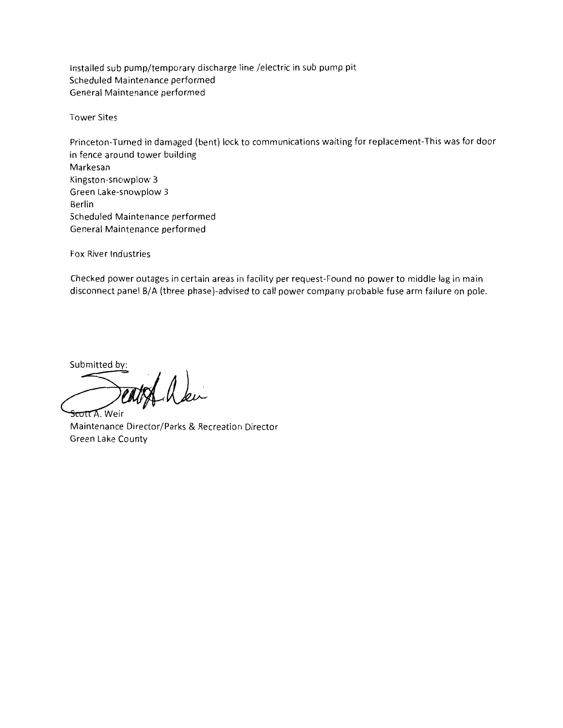Installed sub pump/temporary discharge line /electric in sub pump pit Scheduled Maintenance performed General Maintenance performed

Tower Sites

Princeton-Turned in damaged (bent) lock to communications waiting for replacement-This was for door in fence around tower building Markesan Kingston-snowplow 3 Green Lake-snowplow 3 Berlin Scheduled Maintenance performed General Maintenance performed

Fox River Industries

Checked power outages in certain areas in facility per request-Found no power to middle lag in main disconnect panel B/A (three phase)-advised to call power company probable fuse arm failure on pole.

Submitted by:

Scott Alei

Maintenance Director/Parks & Recreation Director Green Lake County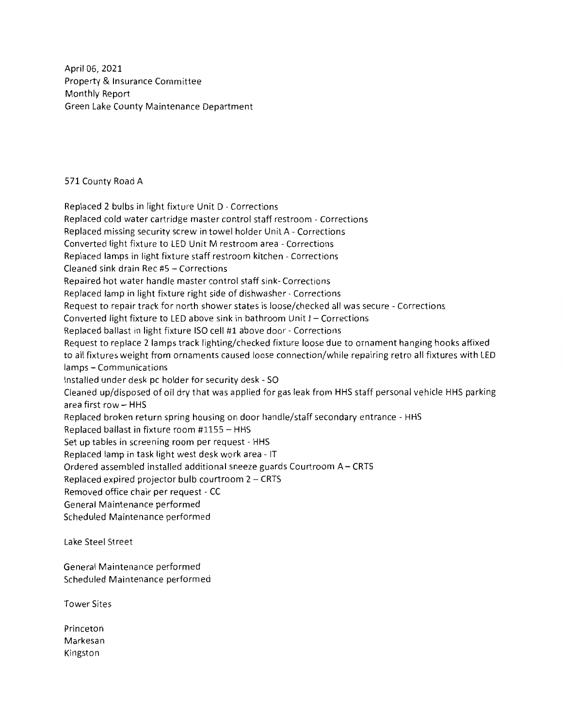April 06, 2021 Property & Insurance Committee Monthly Report Green Lake County Maintenance Department

571 County Road A

Replaced 2 bulbs in light fixture Unit D - Corrections Replaced cold water cartridge master control staff restroom - Corrections Replaced missing security screw in towel holder Unit A - Corrections Converted light fixture to LED Unit M restroom area - Corrections Replaced lamps in light fixture staff restroom kitchen - Corrections Cleaned sink drain Rec #5 - Corrections Repaired hot water handle master control staff sink- Corrections Replaced lamp in light fixture right side of dishwasher - Corrections Request to repair track for north shower states is loose/checked all was secure - Corrections Converted light fixture to LED above sink in bathroom Unit J - Corrections Replaced ballast in light fixture ISO cell #1 above door - Corrections Request to replace 2 lamps track lighting/checked fixture loose due to ornament hanging hooks affixed to all fixtures weight from ornaments caused loose connection/while repairing retro all fixtures with LED lamps - Communications Installed under desk pc holder for security desk - SO Cleaned up/disposed of oil dry that was applied for gas leak from HHS staff personal vehicle HHS parking area first row  $-$  HHS Replaced broken return spring housing on door handle/staff secondary entrance - HHS Replaced ballast in fixture room #1155 - HHS Set up tables in screening room per request - HHS Replaced lamp in task light west desk work area - IT Ordered assembled installed additional sneeze guards Courtroom A- CRTS Replaced expired projector bulb courtroom  $2 - CRTS$ Removed office chair per request - CC General Maintenance performed Scheduled Maintenance performed

Lake Steel Street

General Maintenance performed Scheduled Maintenance performed

Tower Sites

Princeton Markesan Kingston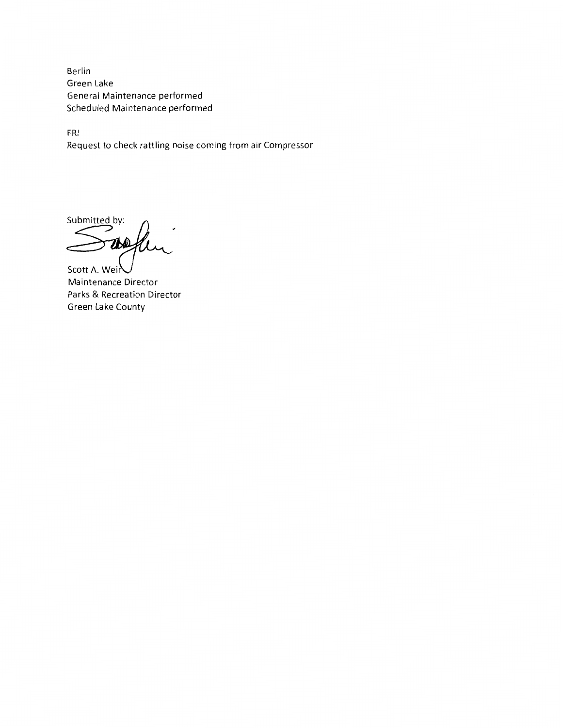Berlin Green Lake General Maintenance performed Scheduled Maintenance performed

FRI Request to check rattling noise coming from air Compressor

Submitted by:

TND

Scott A. Weir Maintenance Director Parks & Recreation Director Green Lake County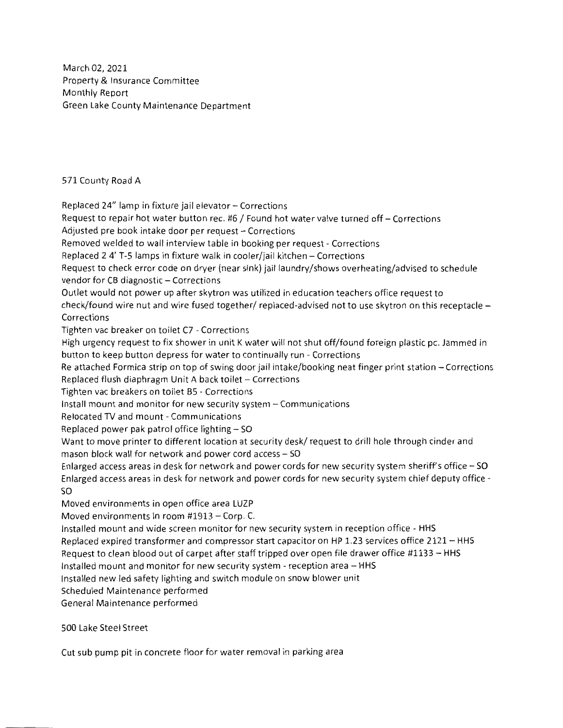March 02, 2021 Property & Insurance Committee Monthly Report Green Lake County Maintenance Department

571 County Road A

Replaced 24" lamp in fixture jail elevator - Corrections Request to repair hot water button rec. #6 / Found hot water valve turned off- Corrections Adjusted pre book intake door per request - Corrections Removed welded to wall interview table in booking per request - Corrections Replaced 2 4' T-5 lamps in fixture walk in cooler/jail kitchen - Corrections Request to check error code on dryer (near sink) jail laundry/shows overheating/advised to schedule vendor for CB diagnostic - Corrections Outlet would not power up after skytron was utilized in education teachers office request to check/found wire nut and wire fused together/ replaced-advised not to use skytron on this receptacle - Corrections Tighten vac breaker on toilet C7 - Corrections High urgency request to fix shower in unit K water will not shut off/found foreign plastic pc. Jammed in button to keep button depress for water to continually run - Corrections Re attached Formica strip on top of swing door jail intake/booking neat finger print station – Corrections Replaced flush diaphragm Unit A back toilet - Corrections Tighten vac breakers on toilet BS - Corrections Install mount and monitor for new security system - Communications Relocated TV and mount - Communications Replaced power pak patrol office lighting  $-$  SO Want to move printer to different location at security desk/ request to drill hole through cinder and mason block wall for network and power cord access - SO Enlarged access areas in desk for network and power cords for new security system sheriffs office - **SO**  Enlarged access areas in desk for network and power cords for new security system chief deputy office so Moved environments in open office area LUZP Moved environments in room #1913 - Corp. C. Installed mount and wide screen monitor for new security system in reception office - HHS Replaced expired transformer and compressor start capacitor on HP 1.23 services office 2121- HHS Request to clean blood out of carpet after staff tripped over open file drawer office #1133 - HHS Installed mount and monitor for new security system - reception area - HHS Installed new led safety lighting and switch module on snow blower unit Scheduled Maintenance performed

General Maintenance performed

500 Lake Steel Street

Cut sub pump pit in concrete floor for water removal in parking area